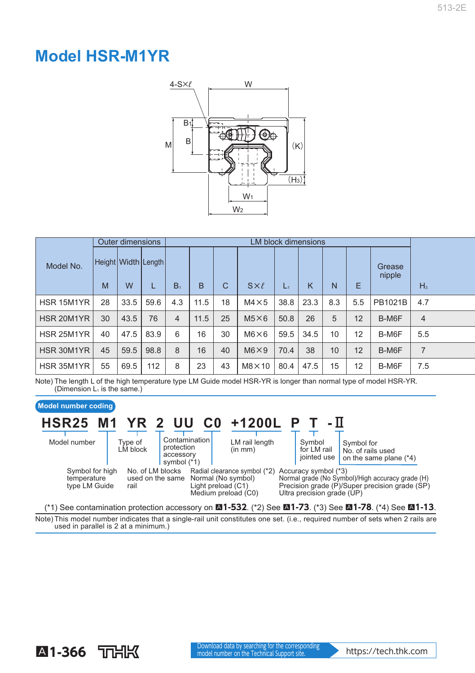## **Model HSR-M1YR**



|            | <b>Outer dimensions</b> |      |                     | <b>LM block dimensions</b> |      |              |                |       |      |     |     |                  |                |  |
|------------|-------------------------|------|---------------------|----------------------------|------|--------------|----------------|-------|------|-----|-----|------------------|----------------|--|
| Model No.  | M                       | W    | Height Width Length | $B_1$                      | B    | $\mathsf{C}$ | $S\times\ell$  | $L_1$ | ĸ    | N   | Е   | Grease<br>nipple | $H_3$          |  |
| HSR 15M1YR | 28                      | 33.5 | 59.6                | 4.3                        | 11.5 | 18           | $M4 \times 5$  | 38.8  | 23.3 | 8.3 | 5.5 | PB1021B          | 4.7            |  |
| HSR 20M1YR | 30                      | 43.5 | 76                  | 4                          | 11.5 | 25           | $M5\times 6$   | 50.8  | 26   | 5   | 12  | B-M6F            | $\overline{4}$ |  |
| HSR 25M1YR | 40                      | 47.5 | 83.9                | 6                          | 16   | 30           | $M6\times 6$   | 59.5  | 34.5 | 10  | 12  | B-M6F            | 5.5            |  |
| HSR 30M1YR | 45                      | 59.5 | 98.8                | 8                          | 16   | 40           | $M6 \times 9$  | 70.4  | 38   | 10  | 12  | B-M6F            | $\overline{7}$ |  |
| HSR 35M1YR | 55                      | 69.5 | 112                 | 8                          | 23   | 43           | $M8 \times 10$ | 80.4  | 47.5 | 15  | 12  | B-M6F            | 7.5            |  |

Note) The length L of the high temperature type LM Guide model HSR-YR is longer than normal type of model HSR-YR. (Dimension  $L_1$  is the same.)

## **Model number coding** Symbol for No. of rails used on the same plane (\*4) Symbol for LM rail jointed use LM rail length (in mm) **Contamination** protection accessory symbol (\*1) Accuracy symbol (\*3) Normal grade (No Symbol)/High accuracy grade (H) Radial clearance symbol (\*2) Normal (No symbol) Precision grade (P)/Super precision grade (SP) Ultra precision grade (UP) Light preload (C1) Medium preload (C0) No. of LM blocks used on the same Normal (No symbol) rail Type of LM block Model number Symbol for high temperature type LM Guide **HSR25 M1 YR 2 UU C0 +1200L P T - H** (\*1) See contamination protection accessory on A**1-532** . (\*2) See A**1-73** . (\*3) See A**1-78** . (\*4) See A**1-13** .

Note) This model number indicates that a single-rail unit constitutes one set. (i.e., required number of sets when 2 rails are used in parallel is 2 at a minimum.)